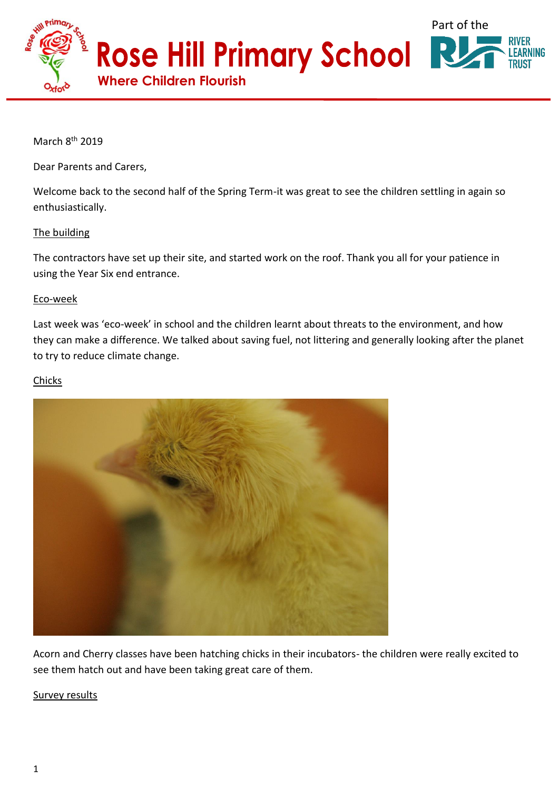

March 8<sup>th</sup> 2019

Dear Parents and Carers,

Welcome back to the second half of the Spring Term-it was great to see the children settling in again so enthusiastically.

## The building

The contractors have set up their site, and started work on the roof. Thank you all for your patience in using the Year Six end entrance.

## Eco-week

Last week was 'eco-week' in school and the children learnt about threats to the environment, and how they can make a difference. We talked about saving fuel, not littering and generally looking after the planet to try to reduce climate change.

## **Chicks**



Acorn and Cherry classes have been hatching chicks in their incubators- the children were really excited to see them hatch out and have been taking great care of them.

## Survey results